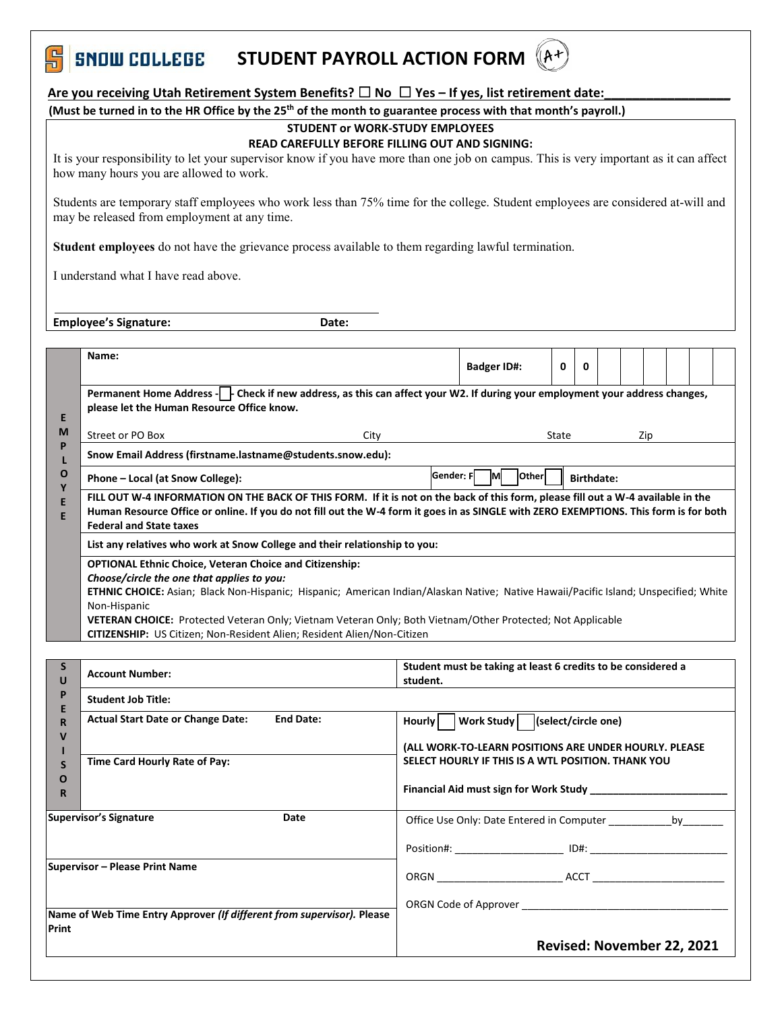

### Are you receiving Utah Retirement System Benefits? □ No □ Yes - If yes, list retirement date:

**(Must be turned in to the HR Office by the 25 th of the month to guarantee process with that month's payroll.)**

# **STUDENT or WORK-STUDY EMPLOYEES**

#### **READ CAREFULLY BEFORE FILLING OUT AND SIGNING:**

It is your responsibility to let your supervisor know if you have more than one job on campus. This is very important as it can affect how many hours you are allowed to work.

Students are temporary staff employees who work less than 75% time for the college. Student employees are considered at-will and may be released from employment at any time.

**Student employees** do not have the grievance process available to them regarding lawful termination.

I understand what I have read above.

**Employee's Signature: Date: Date:** 

|                                                                        | Name:                                                                                                                                                                                                                                                                                                                                                                                                                                                                |                                                                                                                                                                                                                                | <b>Badger ID#:</b>                                                     | $\mathbf{0}$ | 0 |  |                            |  |  |  |  |
|------------------------------------------------------------------------|----------------------------------------------------------------------------------------------------------------------------------------------------------------------------------------------------------------------------------------------------------------------------------------------------------------------------------------------------------------------------------------------------------------------------------------------------------------------|--------------------------------------------------------------------------------------------------------------------------------------------------------------------------------------------------------------------------------|------------------------------------------------------------------------|--------------|---|--|----------------------------|--|--|--|--|
| E                                                                      | Permanent Home Address - Check if new address, as this can affect your W2. If during your employment your address changes,<br>please let the Human Resource Office know.                                                                                                                                                                                                                                                                                             |                                                                                                                                                                                                                                |                                                                        |              |   |  |                            |  |  |  |  |
| M                                                                      | Street or PO Box<br>City                                                                                                                                                                                                                                                                                                                                                                                                                                             | State<br>Zip                                                                                                                                                                                                                   |                                                                        |              |   |  |                            |  |  |  |  |
| P<br>L                                                                 | Snow Email Address (firstname.lastname@students.snow.edu):                                                                                                                                                                                                                                                                                                                                                                                                           |                                                                                                                                                                                                                                |                                                                        |              |   |  |                            |  |  |  |  |
| O<br>Ϋ<br>E<br>E                                                       | Phone - Local (at Snow College):                                                                                                                                                                                                                                                                                                                                                                                                                                     | Gender: FAM<br><b>Other</b><br><b>Birthdate:</b>                                                                                                                                                                               |                                                                        |              |   |  |                            |  |  |  |  |
|                                                                        | FILL OUT W-4 INFORMATION ON THE BACK OF THIS FORM. If it is not on the back of this form, please fill out a W-4 available in the<br>Human Resource Office or online. If you do not fill out the W-4 form it goes in as SINGLE with ZERO EXEMPTIONS. This form is for both<br><b>Federal and State taxes</b>                                                                                                                                                          |                                                                                                                                                                                                                                |                                                                        |              |   |  |                            |  |  |  |  |
|                                                                        | List any relatives who work at Snow College and their relationship to you:                                                                                                                                                                                                                                                                                                                                                                                           |                                                                                                                                                                                                                                |                                                                        |              |   |  |                            |  |  |  |  |
|                                                                        | <b>OPTIONAL Ethnic Choice, Veteran Choice and Citizenship:</b><br>Choose/circle the one that applies to you:<br>ETHNIC CHOICE: Asian; Black Non-Hispanic; Hispanic; American Indian/Alaskan Native; Native Hawaii/Pacific Island; Unspecified; White<br>Non-Hispanic<br><b>VETERAN CHOICE:</b> Protected Veteran Only; Vietnam Veteran Only; Both Vietnam/Other Protected; Not Applicable<br>CITIZENSHIP: US Citizen; Non-Resident Alien; Resident Alien/Non-Citizen |                                                                                                                                                                                                                                |                                                                        |              |   |  |                            |  |  |  |  |
|                                                                        |                                                                                                                                                                                                                                                                                                                                                                                                                                                                      |                                                                                                                                                                                                                                |                                                                        |              |   |  |                            |  |  |  |  |
| S<br>U                                                                 | <b>Account Number:</b>                                                                                                                                                                                                                                                                                                                                                                                                                                               | Student must be taking at least 6 credits to be considered a<br>student.                                                                                                                                                       |                                                                        |              |   |  |                            |  |  |  |  |
| P<br>E                                                                 | <b>Student Job Title:</b>                                                                                                                                                                                                                                                                                                                                                                                                                                            |                                                                                                                                                                                                                                |                                                                        |              |   |  |                            |  |  |  |  |
| R                                                                      | <b>Actual Start Date or Change Date:</b><br><b>End Date:</b>                                                                                                                                                                                                                                                                                                                                                                                                         | <b>Hourly</b>                                                                                                                                                                                                                  | Work Study   (select/circle one)                                       |              |   |  |                            |  |  |  |  |
| V                                                                      |                                                                                                                                                                                                                                                                                                                                                                                                                                                                      | (ALL WORK-TO-LEARN POSITIONS ARE UNDER HOURLY. PLEASE                                                                                                                                                                          |                                                                        |              |   |  |                            |  |  |  |  |
| S                                                                      | Time Card Hourly Rate of Pay:                                                                                                                                                                                                                                                                                                                                                                                                                                        | SELECT HOURLY IF THIS IS A WTL POSITION. THANK YOU                                                                                                                                                                             |                                                                        |              |   |  |                            |  |  |  |  |
| $\mathbf O$<br>R                                                       |                                                                                                                                                                                                                                                                                                                                                                                                                                                                      | Financial Aid must sign for Work Study                                                                                                                                                                                         |                                                                        |              |   |  |                            |  |  |  |  |
| <b>Supervisor's Signature</b><br>Date                                  |                                                                                                                                                                                                                                                                                                                                                                                                                                                                      |                                                                                                                                                                                                                                | Office Use Only: Date Entered in Computer ________________ by ________ |              |   |  |                            |  |  |  |  |
|                                                                        |                                                                                                                                                                                                                                                                                                                                                                                                                                                                      |                                                                                                                                                                                                                                |                                                                        |              |   |  |                            |  |  |  |  |
| <b>Supervisor - Please Print Name</b>                                  |                                                                                                                                                                                                                                                                                                                                                                                                                                                                      |                                                                                                                                                                                                                                |                                                                        |              |   |  |                            |  |  |  |  |
|                                                                        |                                                                                                                                                                                                                                                                                                                                                                                                                                                                      |                                                                                                                                                                                                                                |                                                                        |              |   |  |                            |  |  |  |  |
| Name of Web Time Entry Approver (If different from supervisor). Please |                                                                                                                                                                                                                                                                                                                                                                                                                                                                      | ORGN Code of Approver the contract of the contract of the contract of the contract of the contract of the contract of the contract of the contract of the contract of the contract of the contract of the contract of the cont |                                                                        |              |   |  |                            |  |  |  |  |
| Print                                                                  |                                                                                                                                                                                                                                                                                                                                                                                                                                                                      |                                                                                                                                                                                                                                |                                                                        |              |   |  | Revised: November 22, 2021 |  |  |  |  |
|                                                                        |                                                                                                                                                                                                                                                                                                                                                                                                                                                                      |                                                                                                                                                                                                                                |                                                                        |              |   |  |                            |  |  |  |  |